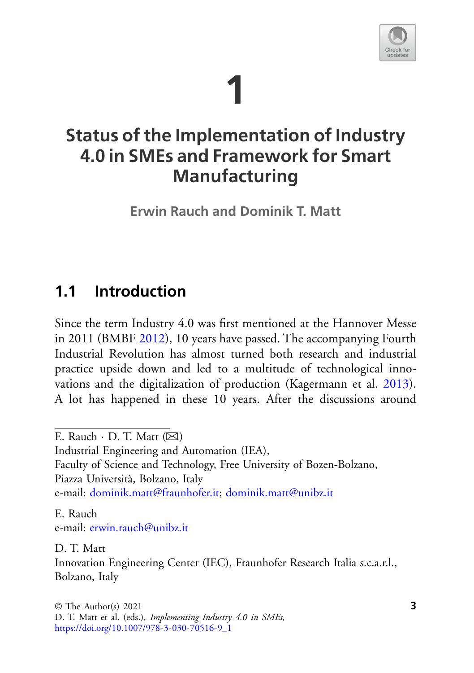# **1**



# **Status of the Implementation of Industry 4.0 in SMEs and Framework for Smart Manufacturing**

**Erwin Rauch and Dominik T. Matt**

## <span id="page-0-0"></span>**1.1 Introduction**

Since the term Industry 4.0 was first mentioned at the Hannover Messe in 2011 (BMBF [2012\)](#page-19-0), 10 years have passed. The accompanying Fourth Industrial Revolution has almost turned both research and industrial practice upside down and led to a multitude of technological innovations and the digitalization of production (Kagermann et al. [2013\)](#page-20-0). A lot has happened in these 10 years. After the discussions around

Faculty of Science and Technology, Free University of Bozen-Bolzano, Piazza Università, Bolzano, Italy

e-mail: [dominik.matt@fraunhofer.it;](mailto:dominik.matt@fraunhofer.it) [dominik.matt@unibz.it](mailto:dominik.matt@unibz.it)

E. Rauch e-mail: [erwin.rauch@unibz.it](mailto:erwin.rauch@unibz.it)

D. T. Matt Innovation Engineering Center (IEC), Fraunhofer Research Italia s.c.a.r.l., Bolzano, Italy

E. Rauch  $\cdot$  D. T. Matt ( $\boxtimes$ )

Industrial Engineering and Automation (IEA),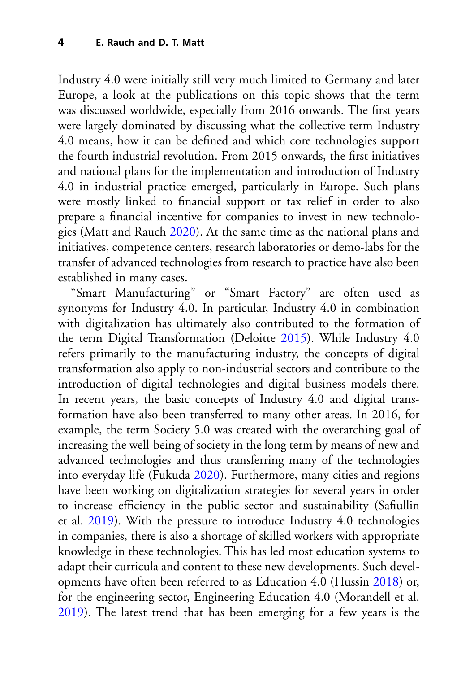Industry 4.0 were initially still very much limited to Germany and later Europe, a look at the publications on this topic shows that the term was discussed worldwide, especially from 2016 onwards. The first years were largely dominated by discussing what the collective term Industry 4.0 means, how it can be defined and which core technologies support the fourth industrial revolution. From 2015 onwards, the first initiatives and national plans for the implementation and introduction of Industry 4.0 in industrial practice emerged, particularly in Europe. Such plans were mostly linked to financial support or tax relief in order to also prepare a financial incentive for companies to invest in new technologies (Matt and Rauch [2020\)](#page-21-0). At the same time as the national plans and initiatives, competence centers, research laboratories or demo-labs for the transfer of advanced technologies from research to practice have also been established in many cases.

"Smart Manufacturing" or "Smart Factory" are often used as synonyms for Industry 4.0. In particular, Industry 4.0 in combination with digitalization has ultimately also contributed to the formation of the term Digital Transformation (Deloitte [2015\)](#page-19-1). While Industry 4.0 refers primarily to the manufacturing industry, the concepts of digital transformation also apply to non-industrial sectors and contribute to the introduction of digital technologies and digital business models there. In recent years, the basic concepts of Industry 4.0 and digital transformation have also been transferred to many other areas. In 2016, for example, the term Society 5.0 was created with the overarching goal of increasing the well-being of society in the long term by means of new and advanced technologies and thus transferring many of the technologies into everyday life (Fukuda [2020\)](#page-20-1). Furthermore, many cities and regions have been working on digitalization strategies for several years in order to increase efficiency in the public sector and sustainability (Safiullin et al. [2019\)](#page-22-0). With the pressure to introduce Industry 4.0 technologies in companies, there is also a shortage of skilled workers with appropriate knowledge in these technologies. This has led most education systems to adapt their curricula and content to these new developments. Such developments have often been referred to as Education 4.0 (Hussin [2018\)](#page-20-2) or, for the engineering sector, Engineering Education 4.0 (Morandell et al. [2019\)](#page-21-1). The latest trend that has been emerging for a few years is the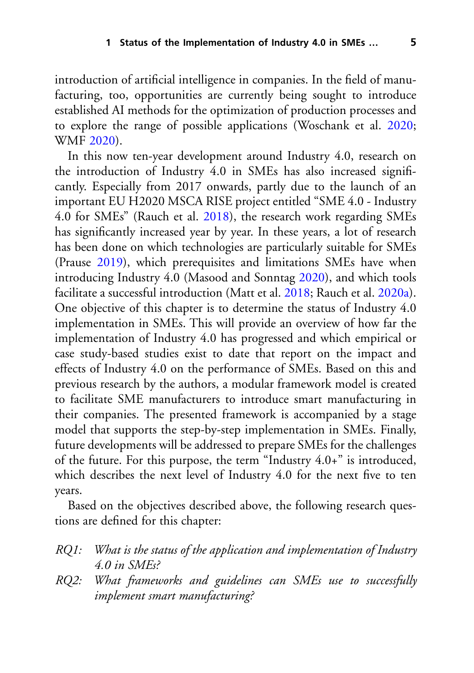introduction of artificial intelligence in companies. In the field of manufacturing, too, opportunities are currently being sought to introduce established AI methods for the optimization of production processes and to explore the range of possible applications (Woschank et al. [2020;](#page-22-1) WMF [2020\)](#page-23-0).

In this now ten-year development around Industry 4.0, research on the introduction of Industry 4.0 in SMEs has also increased significantly. Especially from 2017 onwards, partly due to the launch of an important EU H2020 MSCA RISE project entitled "SME 4.0 - Industry 4.0 for SMEs" (Rauch et al. [2018\)](#page-22-2), the research work regarding SMEs has significantly increased year by year. In these years, a lot of research has been done on which technologies are particularly suitable for SMEs (Prause [2019\)](#page-22-3), which prerequisites and limitations SMEs have when introducing Industry 4.0 (Masood and Sonntag [2020\)](#page-21-2), and which tools facilitate a successful introduction (Matt et al. [2018;](#page-21-3) Rauch et al. [2020a\)](#page-22-4). One objective of this chapter is to determine the status of Industry 4.0 implementation in SMEs. This will provide an overview of how far the implementation of Industry 4.0 has progressed and which empirical or case study-based studies exist to date that report on the impact and effects of Industry 4.0 on the performance of SMEs. Based on this and previous research by the authors, a modular framework model is created to facilitate SME manufacturers to introduce smart manufacturing in their companies. The presented framework is accompanied by a stage model that supports the step-by-step implementation in SMEs. Finally, future developments will be addressed to prepare SMEs for the challenges of the future. For this purpose, the term "Industry 4.0+" is introduced, which describes the next level of Industry 4.0 for the next five to ten years.

Based on the objectives described above, the following research questions are defined for this chapter:

- *RQ1: What is the status of the application and implementation of Industry 4.0 in SMEs?*
- *RQ2: What frameworks and guidelines can SMEs use to successfully implement smart manufacturing?*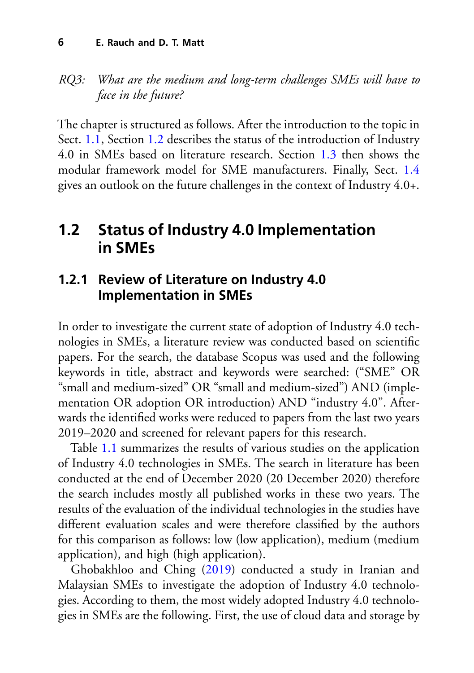#### *RQ3: What are the medium and long-term challenges SMEs will have to face in the future?*

The chapter is structured as follows. After the introduction to the topic in Sect. [1.1,](#page-0-0) Section [1.2](#page-3-0) describes the status of the introduction of Industry 4.0 in SMEs based on literature research. Section [1.3](#page-10-0) then shows the modular framework model for SME manufacturers. Finally, Sect. [1.4](#page-16-0) gives an outlook on the future challenges in the context of Industry 4.0+.

## <span id="page-3-0"></span>**1.2 Status of Industry 4.0 Implementation in SMEs**

## **1.2.1 Review of Literature on Industry 4.0 Implementation in SMEs**

In order to investigate the current state of adoption of Industry 4.0 technologies in SMEs, a literature review was conducted based on scientific papers. For the search, the database Scopus was used and the following keywords in title, abstract and keywords were searched: ("SME" OR "small and medium-sized" OR "small and medium-sized") AND (implementation OR adoption OR introduction) AND "industry 4.0". Afterwards the identified works were reduced to papers from the last two years 2019–2020 and screened for relevant papers for this research.

Table [1.1](#page-4-0) summarizes the results of various studies on the application of Industry 4.0 technologies in SMEs. The search in literature has been conducted at the end of December 2020 (20 December 2020) therefore the search includes mostly all published works in these two years. The results of the evaluation of the individual technologies in the studies have different evaluation scales and were therefore classified by the authors for this comparison as follows: low (low application), medium (medium application), and high (high application).

Ghobakhloo and Ching [\(2019\)](#page-20-3) conducted a study in Iranian and Malaysian SMEs to investigate the adoption of Industry 4.0 technologies. According to them, the most widely adopted Industry 4.0 technologies in SMEs are the following. First, the use of cloud data and storage by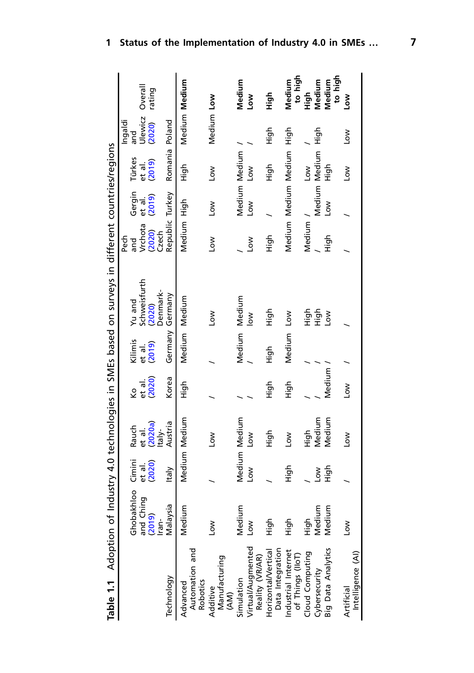<span id="page-4-0"></span>

| Table 1.1 Adoption of Industry 4.0 technologies in SMEs based on surveys in different countries/regions |                     |               |                   |        |                 |                        |                            |                      |                       |                |                    |
|---------------------------------------------------------------------------------------------------------|---------------------|---------------|-------------------|--------|-----------------|------------------------|----------------------------|----------------------|-----------------------|----------------|--------------------|
|                                                                                                         | Ghobakhloo          | Cimini        | Rauch             | Ş      | Kilimis         | Yu and                 | Pech<br>and                | Gergin               | Türkes                | Ingaldi<br>and |                    |
|                                                                                                         | and Ching<br>(2019) | et al.        | et al.<br>(2020a) | et al  | et al.          | Schweisfurth<br>(2020) |                            | et al.               | et al.                | Ulewicz        | Overall            |
|                                                                                                         | lran-               | (2020)        | taly-             | (2020) | (2019)          | Denmark-               | Vrchota<br>(2020)<br>Czech | (2019)               | (2019)                | (2020)         | rating             |
| Technology                                                                                              | Malaysia            | <b>Italy</b>  | Austria           | Korea  | Germany Germany |                        | Republic Turkey            |                      | Romania Poland        |                |                    |
| Advanced                                                                                                | Medium              | Medium Medium |                   | High   | Medium Medium   |                        | Medium High                |                      | Чigh                  | Medium Medium  |                    |
| Automation and<br>Robotics                                                                              |                     |               |                   |        |                 |                        |                            |                      |                       |                |                    |
| Additive                                                                                                | <b>NOT</b>          |               | <b>No7</b>        |        |                 | Low                    | <b>NOT</b>                 | <b>No7</b>           | Low                   | Medium Low     |                    |
| Manufacturing<br>(AM)                                                                                   |                     |               |                   |        |                 |                        |                            |                      |                       |                |                    |
| Simulation                                                                                              | Medium              |               | Medium Medium     |        | Medium          | Medium                 |                            | Medium Medium        |                       |                | Medium             |
| Virtual/Augmented<br>Reality (VR/AR)                                                                    | No7                 | Low           | <b>NOT</b>        |        |                 | $\frac{8}{10}$         | ŠΣ                         | Low                  | $\sum_{i=1}^{\infty}$ |                | Š                  |
| Data Integration<br>Horizontal/Vertical                                                                 | 들                   |               | 들                 | Aigh   | High            | Нідh                   | High                       |                      | Чigh                  | 슬              | 들                  |
| Industrial Internet<br>of Things (lloT)                                                                 | Aigh                | Aigh          | δŇ                | High   | Medium          | <b>No7</b>             |                            | Medium Medium Medium |                       | нідh           | to high<br>Medium  |
| Cloud Computing                                                                                         | 소<br>도              |               | High              |        |                 |                        | Medium                     |                      | <b>No7</b>            |                | High               |
| Cybersecurity                                                                                           | Medium              | NO-           | Medium            |        |                 | 들들                     |                            | Medium Medium        |                       | Нigh           | Medium             |
| <b>Big Data Analytics</b>                                                                               | Medium              | High          | Medium            | Medium |                 | $\sum_{i=1}^{n}$       | High                       | <b>MOT</b>           | 6.<br>도               |                | to high<br>Vledium |
| Intelligence (AI)<br>Artificial                                                                         | <b>NOT</b>          |               | No7               | Low    |                 |                        |                            |                      | Low                   | Mo7            | Σoν                |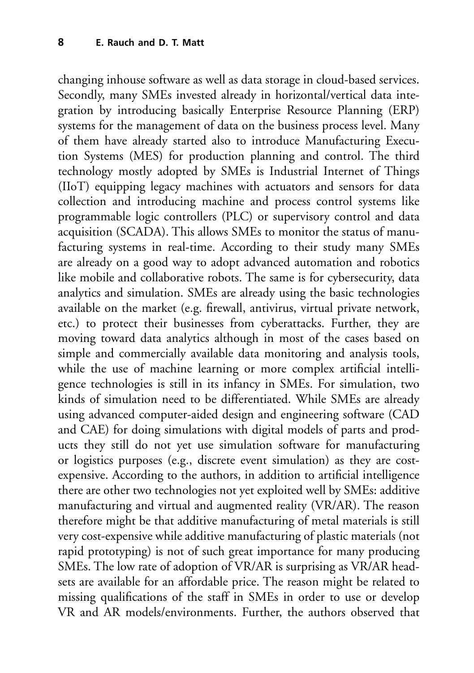changing inhouse software as well as data storage in cloud-based services. Secondly, many SMEs invested already in horizontal/vertical data integration by introducing basically Enterprise Resource Planning (ERP) systems for the management of data on the business process level. Many of them have already started also to introduce Manufacturing Execution Systems (MES) for production planning and control. The third technology mostly adopted by SMEs is Industrial Internet of Things (IIoT) equipping legacy machines with actuators and sensors for data collection and introducing machine and process control systems like programmable logic controllers (PLC) or supervisory control and data acquisition (SCADA). This allows SMEs to monitor the status of manufacturing systems in real-time. According to their study many SMEs are already on a good way to adopt advanced automation and robotics like mobile and collaborative robots. The same is for cybersecurity, data analytics and simulation. SMEs are already using the basic technologies available on the market (e.g. firewall, antivirus, virtual private network, etc.) to protect their businesses from cyberattacks. Further, they are moving toward data analytics although in most of the cases based on simple and commercially available data monitoring and analysis tools, while the use of machine learning or more complex artificial intelligence technologies is still in its infancy in SMEs. For simulation, two kinds of simulation need to be differentiated. While SMEs are already using advanced computer-aided design and engineering software (CAD and CAE) for doing simulations with digital models of parts and products they still do not yet use simulation software for manufacturing or logistics purposes (e.g., discrete event simulation) as they are costexpensive. According to the authors, in addition to artificial intelligence there are other two technologies not yet exploited well by SMEs: additive manufacturing and virtual and augmented reality (VR/AR). The reason therefore might be that additive manufacturing of metal materials is still very cost-expensive while additive manufacturing of plastic materials (not rapid prototyping) is not of such great importance for many producing SMEs. The low rate of adoption of VR/AR is surprising as VR/AR headsets are available for an affordable price. The reason might be related to missing qualifications of the staff in SMEs in order to use or develop VR and AR models/environments. Further, the authors observed that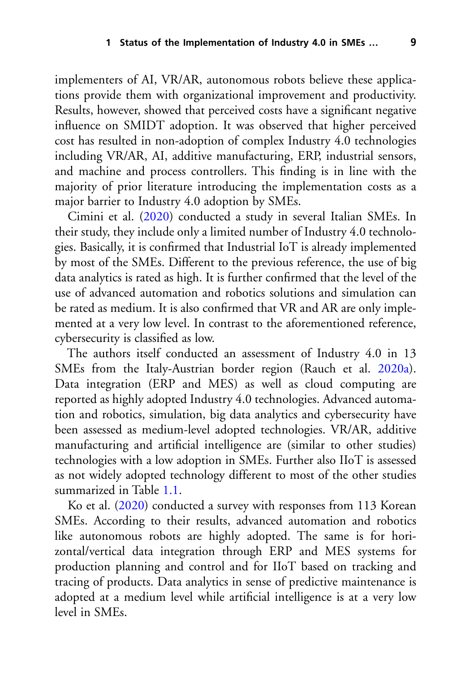implementers of AI, VR/AR, autonomous robots believe these applications provide them with organizational improvement and productivity. Results, however, showed that perceived costs have a significant negative influence on SMIDT adoption. It was observed that higher perceived cost has resulted in non-adoption of complex Industry 4.0 technologies including VR/AR, AI, additive manufacturing, ERP, industrial sensors, and machine and process controllers. This finding is in line with the majority of prior literature introducing the implementation costs as a major barrier to Industry 4.0 adoption by SMEs.

Cimini et al. [\(2020\)](#page-19-2) conducted a study in several Italian SMEs. In their study, they include only a limited number of Industry 4.0 technologies. Basically, it is confirmed that Industrial IoT is already implemented by most of the SMEs. Different to the previous reference, the use of big data analytics is rated as high. It is further confirmed that the level of the use of advanced automation and robotics solutions and simulation can be rated as medium. It is also confirmed that VR and AR are only implemented at a very low level. In contrast to the aforementioned reference, cybersecurity is classified as low.

The authors itself conducted an assessment of Industry 4.0 in 13 SMEs from the Italy-Austrian border region (Rauch et al. [2020a\)](#page-22-4). Data integration (ERP and MES) as well as cloud computing are reported as highly adopted Industry 4.0 technologies. Advanced automation and robotics, simulation, big data analytics and cybersecurity have been assessed as medium-level adopted technologies. VR/AR, additive manufacturing and artificial intelligence are (similar to other studies) technologies with a low adoption in SMEs. Further also IIoT is assessed as not widely adopted technology different to most of the other studies summarized in Table [1.1.](#page-4-0)

Ko et al. [\(2020\)](#page-21-4) conducted a survey with responses from 113 Korean SMEs. According to their results, advanced automation and robotics like autonomous robots are highly adopted. The same is for horizontal/vertical data integration through ERP and MES systems for production planning and control and for IIoT based on tracking and tracing of products. Data analytics in sense of predictive maintenance is adopted at a medium level while artificial intelligence is at a very low level in SMEs.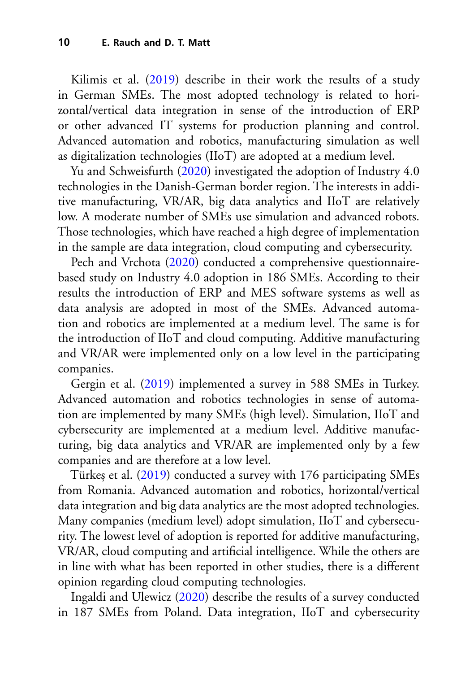Kilimis et al. [\(2019\)](#page-20-4) describe in their work the results of a study in German SMEs. The most adopted technology is related to horizontal/vertical data integration in sense of the introduction of ERP or other advanced IT systems for production planning and control. Advanced automation and robotics, manufacturing simulation as well as digitalization technologies (IIoT) are adopted at a medium level.

Yu and Schweisfurth [\(2020\)](#page-23-1) investigated the adoption of Industry 4.0 technologies in the Danish-German border region. The interests in additive manufacturing, VR/AR, big data analytics and IIoT are relatively low. A moderate number of SMEs use simulation and advanced robots. Those technologies, which have reached a high degree of implementation in the sample are data integration, cloud computing and cybersecurity.

Pech and Vrchota [\(2020\)](#page-22-5) conducted a comprehensive questionnairebased study on Industry 4.0 adoption in 186 SMEs. According to their results the introduction of ERP and MES software systems as well as data analysis are adopted in most of the SMEs. Advanced automation and robotics are implemented at a medium level. The same is for the introduction of IIoT and cloud computing. Additive manufacturing and VR/AR were implemented only on a low level in the participating companies.

Gergin et al. [\(2019\)](#page-20-5) implemented a survey in 588 SMEs in Turkey. Advanced automation and robotics technologies in sense of automation are implemented by many SMEs (high level). Simulation, IIoT and cybersecurity are implemented at a medium level. Additive manufacturing, big data analytics and VR/AR are implemented only by a few companies and are therefore at a low level.

Türkes et al. [\(2019\)](#page-22-6) conducted a survey with 176 participating SMEs from Romania. Advanced automation and robotics, horizontal/vertical data integration and big data analytics are the most adopted technologies. Many companies (medium level) adopt simulation, IIoT and cybersecurity. The lowest level of adoption is reported for additive manufacturing, VR/AR, cloud computing and artificial intelligence. While the others are in line with what has been reported in other studies, there is a different opinion regarding cloud computing technologies.

Ingaldi and Ulewicz [\(2020\)](#page-20-6) describe the results of a survey conducted in 187 SMEs from Poland. Data integration, IIoT and cybersecurity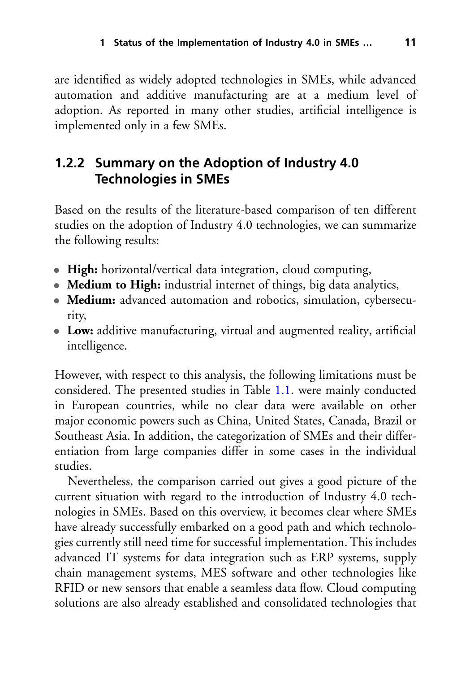are identified as widely adopted technologies in SMEs, while advanced automation and additive manufacturing are at a medium level of adoption. As reported in many other studies, artificial intelligence is implemented only in a few SMEs.

## **1.2.2 Summary on the Adoption of Industry 4.0 Technologies in SMEs**

Based on the results of the literature-based comparison of ten different studies on the adoption of Industry 4.0 technologies, we can summarize the following results:

- **High:** horizontal/vertical data integration, cloud computing,
- **Medium to High:** industrial internet of things, big data analytics,
- **Medium:** advanced automation and robotics, simulation, cybersecurity,
- **Low:** additive manufacturing, virtual and augmented reality, artificial intelligence.

However, with respect to this analysis, the following limitations must be considered. The presented studies in Table [1.1.](#page-4-0) were mainly conducted in European countries, while no clear data were available on other major economic powers such as China, United States, Canada, Brazil or Southeast Asia. In addition, the categorization of SMEs and their differentiation from large companies differ in some cases in the individual studies.

Nevertheless, the comparison carried out gives a good picture of the current situation with regard to the introduction of Industry 4.0 technologies in SMEs. Based on this overview, it becomes clear where SMEs have already successfully embarked on a good path and which technologies currently still need time for successful implementation. This includes advanced IT systems for data integration such as ERP systems, supply chain management systems, MES software and other technologies like RFID or new sensors that enable a seamless data flow. Cloud computing solutions are also already established and consolidated technologies that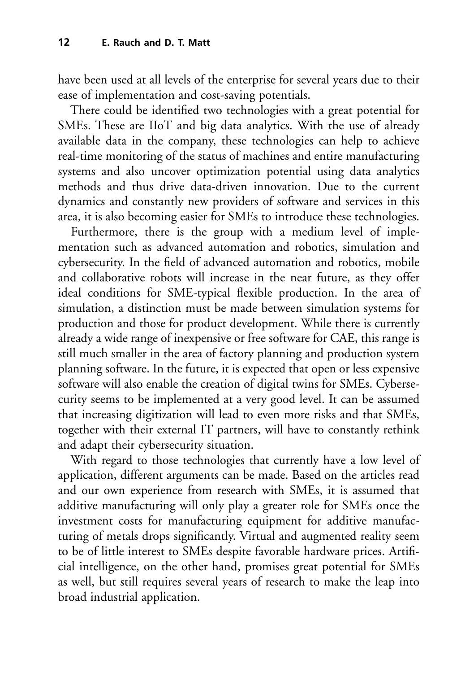have been used at all levels of the enterprise for several years due to their ease of implementation and cost-saving potentials.

There could be identified two technologies with a great potential for SMEs. These are IIoT and big data analytics. With the use of already available data in the company, these technologies can help to achieve real-time monitoring of the status of machines and entire manufacturing systems and also uncover optimization potential using data analytics methods and thus drive data-driven innovation. Due to the current dynamics and constantly new providers of software and services in this area, it is also becoming easier for SMEs to introduce these technologies.

Furthermore, there is the group with a medium level of implementation such as advanced automation and robotics, simulation and cybersecurity. In the field of advanced automation and robotics, mobile and collaborative robots will increase in the near future, as they offer ideal conditions for SME-typical flexible production. In the area of simulation, a distinction must be made between simulation systems for production and those for product development. While there is currently already a wide range of inexpensive or free software for CAE, this range is still much smaller in the area of factory planning and production system planning software. In the future, it is expected that open or less expensive software will also enable the creation of digital twins for SMEs. Cybersecurity seems to be implemented at a very good level. It can be assumed that increasing digitization will lead to even more risks and that SMEs, together with their external IT partners, will have to constantly rethink and adapt their cybersecurity situation.

With regard to those technologies that currently have a low level of application, different arguments can be made. Based on the articles read and our own experience from research with SMEs, it is assumed that additive manufacturing will only play a greater role for SMEs once the investment costs for manufacturing equipment for additive manufacturing of metals drops significantly. Virtual and augmented reality seem to be of little interest to SMEs despite favorable hardware prices. Artificial intelligence, on the other hand, promises great potential for SMEs as well, but still requires several years of research to make the leap into broad industrial application.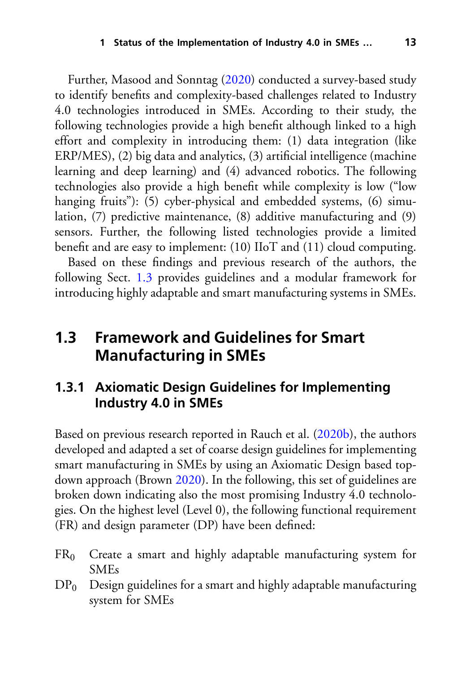Further, Masood and Sonntag [\(2020\)](#page-21-2) conducted a survey-based study to identify benefits and complexity-based challenges related to Industry 4.0 technologies introduced in SMEs. According to their study, the following technologies provide a high benefit although linked to a high effort and complexity in introducing them: (1) data integration (like ERP/MES), (2) big data and analytics, (3) artificial intelligence (machine learning and deep learning) and (4) advanced robotics. The following technologies also provide a high benefit while complexity is low ("low hanging fruits"): (5) cyber-physical and embedded systems, (6) simulation, (7) predictive maintenance, (8) additive manufacturing and (9) sensors. Further, the following listed technologies provide a limited benefit and are easy to implement: (10) IIoT and (11) cloud computing.

Based on these findings and previous research of the authors, the following Sect. [1.3](#page-10-0) provides guidelines and a modular framework for introducing highly adaptable and smart manufacturing systems in SMEs.

## <span id="page-10-0"></span>**1.3 Framework and Guidelines for Smart Manufacturing in SMEs**

#### **1.3.1 Axiomatic Design Guidelines for Implementing Industry 4.0 in SMEs**

Based on previous research reported in Rauch et al. [\(2020b\)](#page-22-7), the authors developed and adapted a set of coarse design guidelines for implementing smart manufacturing in SMEs by using an Axiomatic Design based topdown approach (Brown [2020\)](#page-19-3). In the following, this set of guidelines are broken down indicating also the most promising Industry 4.0 technologies. On the highest level (Level 0), the following functional requirement (FR) and design parameter (DP) have been defined:

- $FR<sub>0</sub>$  Create a smart and highly adaptable manufacturing system for SMEs
- $DP<sub>0</sub>$  Design guidelines for a smart and highly adaptable manufacturing system for SMEs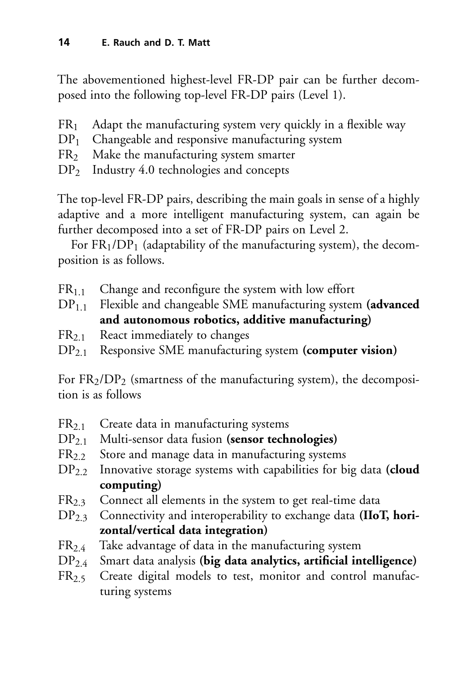The abovementioned highest-level FR-DP pair can be further decomposed into the following top-level FR-DP pairs (Level 1).

- $FR<sub>1</sub>$  Adapt the manufacturing system very quickly in a flexible way  $DP<sub>1</sub>$  Changeable and responsive manufacturing system
- Changeable and responsive manufacturing system
- FR2 Make the manufacturing system smarter
- DP<sub>2</sub> Industry 4.0 technologies and concepts

The top-level FR-DP pairs, describing the main goals in sense of a highly adaptive and a more intelligent manufacturing system, can again be further decomposed into a set of FR-DP pairs on Level 2.

For  $FR<sub>1</sub>/DP<sub>1</sub>$  (adaptability of the manufacturing system), the decomposition is as follows.

 $FR<sub>1.1</sub>$  Change and reconfigure the system with low effort

DP1.1 Flexible and changeable SME manufacturing system **(advanced and autonomous robotics, additive manufacturing)**

- FR2.1 React immediately to changes
- DP2.1 Responsive SME manufacturing system **(computer vision)**

For  $FR<sub>2</sub>/DP<sub>2</sub>$  (smartness of the manufacturing system), the decomposition is as follows

- FR2.1 Create data in manufacturing systems
- DP2.1 Multi-sensor data fusion **(sensor technologies)**
- $FR<sub>2.2</sub>$  Store and manage data in manufacturing systems
- DP2.2 Innovative storage systems with capabilities for big data **(cloud computing)**
- $FR<sub>2.3</sub>$  Connect all elements in the system to get real-time data
- DP2.3 Connectivity and interoperability to exchange data **(IIoT, horizontal/vertical data integration)**
- $FR_{2.4}$  Take advantage of data in the manufacturing system<br> $DP_{2.4}$  Smart data analysis (big data analytics, artificial in
- Smart data analysis (big data analytics, artificial intelligence)
- FR2.5 Create digital models to test, monitor and control manufacturing systems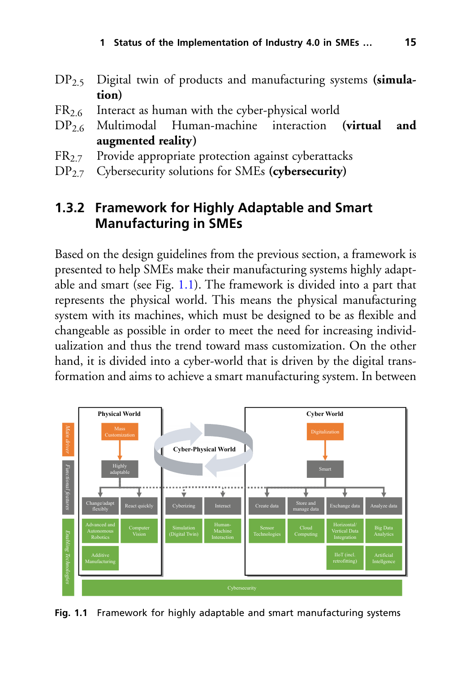- DP2.5 Digital twin of products and manufacturing systems **(simulation)**
- $FR_{2.6}$  Interact as human with the cyber-physical world<br> $DP_{2.6}$  Multimodal Human-machine interaction (virtual
- Human-machine interaction (virtual and **augmented reality)**
- FR<sub>2.7</sub> Provide appropriate protection against cyberattacks
- DP2.7 Cybersecurity solutions for SMEs **(cybersecurity)**

## **1.3.2 Framework for Highly Adaptable and Smart Manufacturing in SMEs**

Based on the design guidelines from the previous section, a framework is presented to help SMEs make their manufacturing systems highly adaptable and smart (see Fig. [1.1\)](#page-12-0). The framework is divided into a part that represents the physical world. This means the physical manufacturing system with its machines, which must be designed to be as flexible and changeable as possible in order to meet the need for increasing individualization and thus the trend toward mass customization. On the other hand, it is divided into a cyber-world that is driven by the digital transformation and aims to achieve a smart manufacturing system. In between



<span id="page-12-0"></span>**Fig. 1.1** Framework for highly adaptable and smart manufacturing systems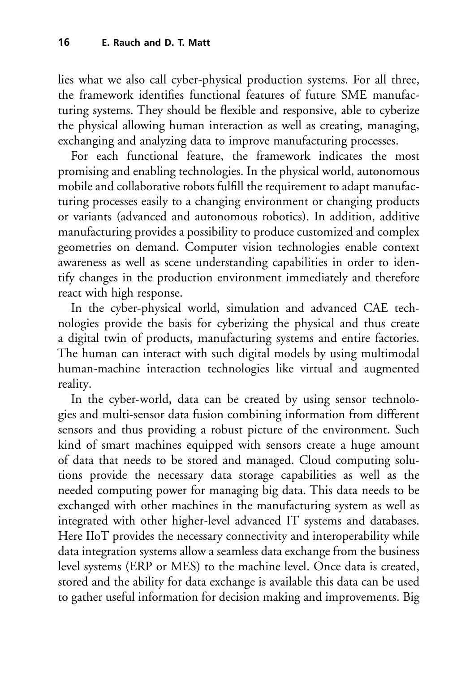lies what we also call cyber-physical production systems. For all three, the framework identifies functional features of future SME manufacturing systems. They should be flexible and responsive, able to cyberize the physical allowing human interaction as well as creating, managing, exchanging and analyzing data to improve manufacturing processes.

For each functional feature, the framework indicates the most promising and enabling technologies. In the physical world, autonomous mobile and collaborative robots fulfill the requirement to adapt manufacturing processes easily to a changing environment or changing products or variants (advanced and autonomous robotics). In addition, additive manufacturing provides a possibility to produce customized and complex geometries on demand. Computer vision technologies enable context awareness as well as scene understanding capabilities in order to identify changes in the production environment immediately and therefore react with high response.

In the cyber-physical world, simulation and advanced CAE technologies provide the basis for cyberizing the physical and thus create a digital twin of products, manufacturing systems and entire factories. The human can interact with such digital models by using multimodal human-machine interaction technologies like virtual and augmented reality.

In the cyber-world, data can be created by using sensor technologies and multi-sensor data fusion combining information from different sensors and thus providing a robust picture of the environment. Such kind of smart machines equipped with sensors create a huge amount of data that needs to be stored and managed. Cloud computing solutions provide the necessary data storage capabilities as well as the needed computing power for managing big data. This data needs to be exchanged with other machines in the manufacturing system as well as integrated with other higher-level advanced IT systems and databases. Here IIoT provides the necessary connectivity and interoperability while data integration systems allow a seamless data exchange from the business level systems (ERP or MES) to the machine level. Once data is created, stored and the ability for data exchange is available this data can be used to gather useful information for decision making and improvements. Big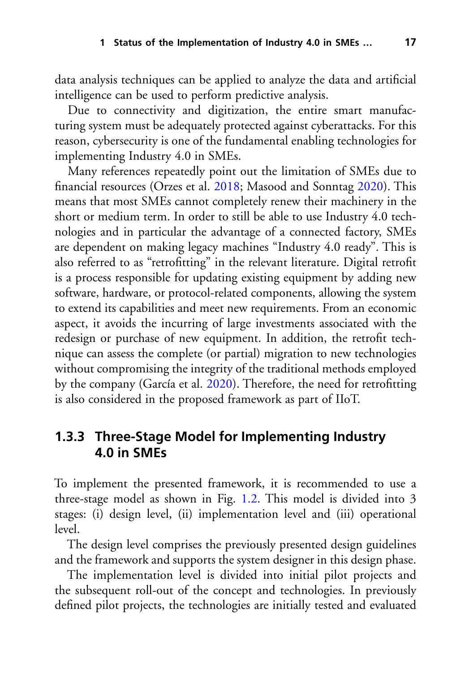data analysis techniques can be applied to analyze the data and artificial intelligence can be used to perform predictive analysis.

Due to connectivity and digitization, the entire smart manufacturing system must be adequately protected against cyberattacks. For this reason, cybersecurity is one of the fundamental enabling technologies for implementing Industry 4.0 in SMEs.

Many references repeatedly point out the limitation of SMEs due to financial resources (Orzes et al. [2018;](#page-21-5) Masood and Sonntag [2020\)](#page-21-2). This means that most SMEs cannot completely renew their machinery in the short or medium term. In order to still be able to use Industry 4.0 technologies and in particular the advantage of a connected factory, SMEs are dependent on making legacy machines "Industry 4.0 ready". This is also referred to as "retrofitting" in the relevant literature. Digital retrofit is a process responsible for updating existing equipment by adding new software, hardware, or protocol-related components, allowing the system to extend its capabilities and meet new requirements. From an economic aspect, it avoids the incurring of large investments associated with the redesign or purchase of new equipment. In addition, the retrofit technique can assess the complete (or partial) migration to new technologies without compromising the integrity of the traditional methods employed by the company (García et al. [2020\)](#page-20-7). Therefore, the need for retrofitting is also considered in the proposed framework as part of IIoT.

#### **1.3.3 Three-Stage Model for Implementing Industry 4.0 in SMEs**

To implement the presented framework, it is recommended to use a three-stage model as shown in Fig. [1.2.](#page-15-0) This model is divided into 3 stages: (i) design level, (ii) implementation level and (iii) operational level.

The design level comprises the previously presented design guidelines and the framework and supports the system designer in this design phase.

The implementation level is divided into initial pilot projects and the subsequent roll-out of the concept and technologies. In previously defined pilot projects, the technologies are initially tested and evaluated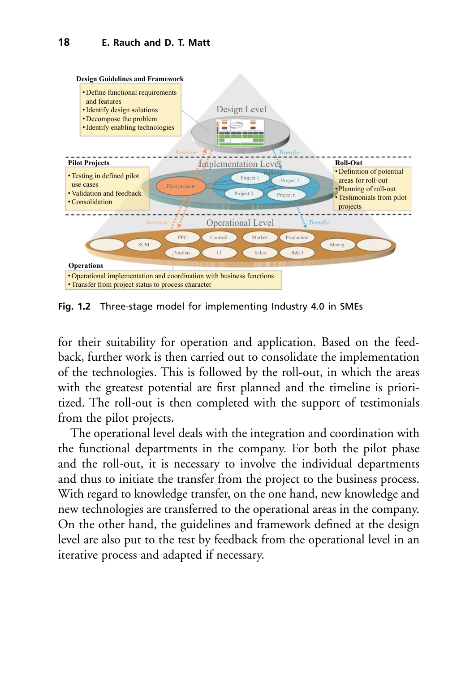#### **18 E. Rauch and D. T. Matt**



<span id="page-15-0"></span>**Fig. 1.2** Three-stage model for implementing Industry 4.0 in SMEs

for their suitability for operation and application. Based on the feedback, further work is then carried out to consolidate the implementation of the technologies. This is followed by the roll-out, in which the areas with the greatest potential are first planned and the timeline is prioritized. The roll-out is then completed with the support of testimonials from the pilot projects.

The operational level deals with the integration and coordination with the functional departments in the company. For both the pilot phase and the roll-out, it is necessary to involve the individual departments and thus to initiate the transfer from the project to the business process. With regard to knowledge transfer, on the one hand, new knowledge and new technologies are transferred to the operational areas in the company. On the other hand, the guidelines and framework defined at the design level are also put to the test by feedback from the operational level in an iterative process and adapted if necessary.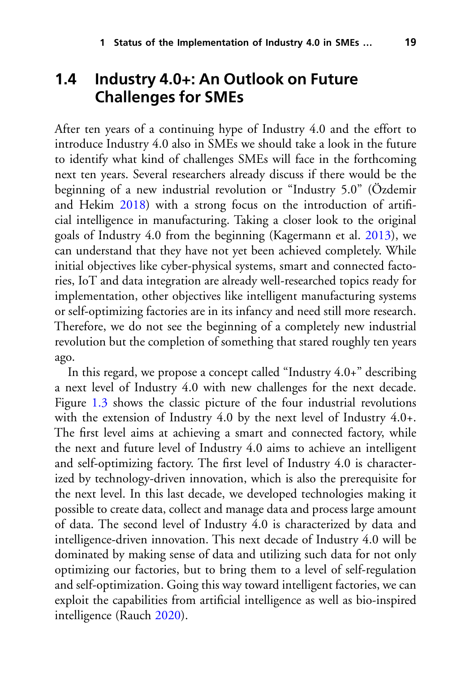## <span id="page-16-0"></span>**1.4 Industry 4.0+: An Outlook on Future Challenges for SMEs**

After ten years of a continuing hype of Industry 4.0 and the effort to introduce Industry 4.0 also in SMEs we should take a look in the future to identify what kind of challenges SMEs will face in the forthcoming next ten years. Several researchers already discuss if there would be the beginning of a new industrial revolution or "Industry 5.0" (Özdemir and Hekim [2018\)](#page-21-6) with a strong focus on the introduction of artificial intelligence in manufacturing. Taking a closer look to the original goals of Industry 4.0 from the beginning (Kagermann et al. [2013\)](#page-20-0), we can understand that they have not yet been achieved completely. While initial objectives like cyber-physical systems, smart and connected factories, IoT and data integration are already well-researched topics ready for implementation, other objectives like intelligent manufacturing systems or self-optimizing factories are in its infancy and need still more research. Therefore, we do not see the beginning of a completely new industrial revolution but the completion of something that stared roughly ten years ago.

In this regard, we propose a concept called "Industry 4.0+" describing a next level of Industry 4.0 with new challenges for the next decade. Figure [1.3](#page-17-0) shows the classic picture of the four industrial revolutions with the extension of Industry 4.0 by the next level of Industry 4.0+. The first level aims at achieving a smart and connected factory, while the next and future level of Industry 4.0 aims to achieve an intelligent and self-optimizing factory. The first level of Industry 4.0 is characterized by technology-driven innovation, which is also the prerequisite for the next level. In this last decade, we developed technologies making it possible to create data, collect and manage data and process large amount of data. The second level of Industry 4.0 is characterized by data and intelligence-driven innovation. This next decade of Industry 4.0 will be dominated by making sense of data and utilizing such data for not only optimizing our factories, but to bring them to a level of self-regulation and self-optimization. Going this way toward intelligent factories, we can exploit the capabilities from artificial intelligence as well as bio-inspired intelligence (Rauch [2020\)](#page-22-8).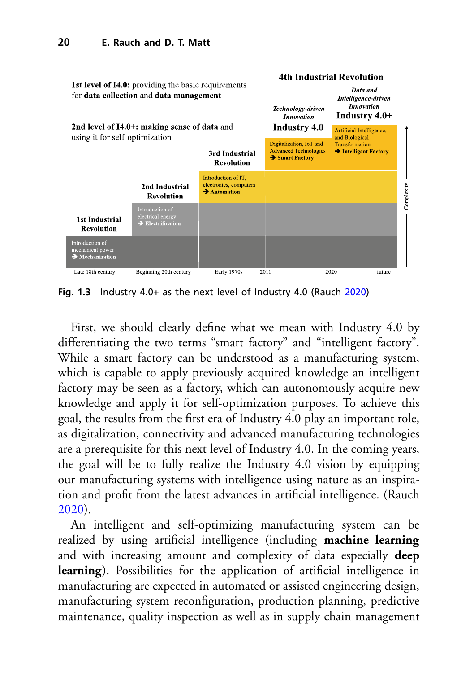

<span id="page-17-0"></span>**Fig. 1.3** Industry 4.0+ as the next level of Industry 4.0 (Rauch [2020\)](#page-22-8)

First, we should clearly define what we mean with Industry 4.0 by differentiating the two terms "smart factory" and "intelligent factory". While a smart factory can be understood as a manufacturing system, which is capable to apply previously acquired knowledge an intelligent factory may be seen as a factory, which can autonomously acquire new knowledge and apply it for self-optimization purposes. To achieve this goal, the results from the first era of Industry 4.0 play an important role, as digitalization, connectivity and advanced manufacturing technologies are a prerequisite for this next level of Industry 4.0. In the coming years, the goal will be to fully realize the Industry 4.0 vision by equipping our manufacturing systems with intelligence using nature as an inspiration and profit from the latest advances in artificial intelligence. (Rauch [2020\)](#page-22-8).

An intelligent and self-optimizing manufacturing system can be realized by using artificial intelligence (including **machine learning** and with increasing amount and complexity of data especially **deep learning**). Possibilities for the application of artificial intelligence in manufacturing are expected in automated or assisted engineering design, manufacturing system reconfiguration, production planning, predictive maintenance, quality inspection as well as in supply chain management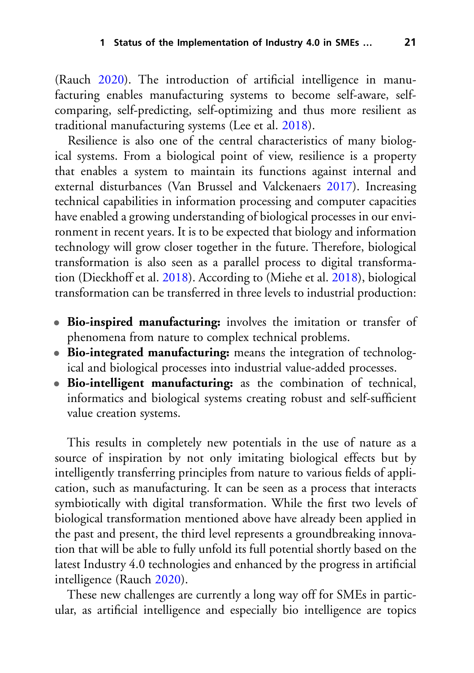(Rauch [2020\)](#page-22-8). The introduction of artificial intelligence in manufacturing enables manufacturing systems to become self-aware, selfcomparing, self-predicting, self-optimizing and thus more resilient as traditional manufacturing systems (Lee et al. [2018\)](#page-21-7).

Resilience is also one of the central characteristics of many biological systems. From a biological point of view, resilience is a property that enables a system to maintain its functions against internal and external disturbances (Van Brussel and Valckenaers [2017\)](#page-22-9). Increasing technical capabilities in information processing and computer capacities have enabled a growing understanding of biological processes in our environment in recent years. It is to be expected that biology and information technology will grow closer together in the future. Therefore, biological transformation is also seen as a parallel process to digital transformation (Dieckhoff et al. [2018\)](#page-20-8). According to (Miehe et al. [2018\)](#page-21-8), biological transformation can be transferred in three levels to industrial production:

- **Bio-inspired manufacturing:** involves the imitation or transfer of phenomena from nature to complex technical problems.
- **Bio-integrated manufacturing:** means the integration of technological and biological processes into industrial value-added processes.
- **Bio-intelligent manufacturing:** as the combination of technical, informatics and biological systems creating robust and self-sufficient value creation systems.

This results in completely new potentials in the use of nature as a source of inspiration by not only imitating biological effects but by intelligently transferring principles from nature to various fields of application, such as manufacturing. It can be seen as a process that interacts symbiotically with digital transformation. While the first two levels of biological transformation mentioned above have already been applied in the past and present, the third level represents a groundbreaking innovation that will be able to fully unfold its full potential shortly based on the latest Industry 4.0 technologies and enhanced by the progress in artificial intelligence (Rauch [2020\)](#page-22-8).

These new challenges are currently a long way off for SMEs in particular, as artificial intelligence and especially bio intelligence are topics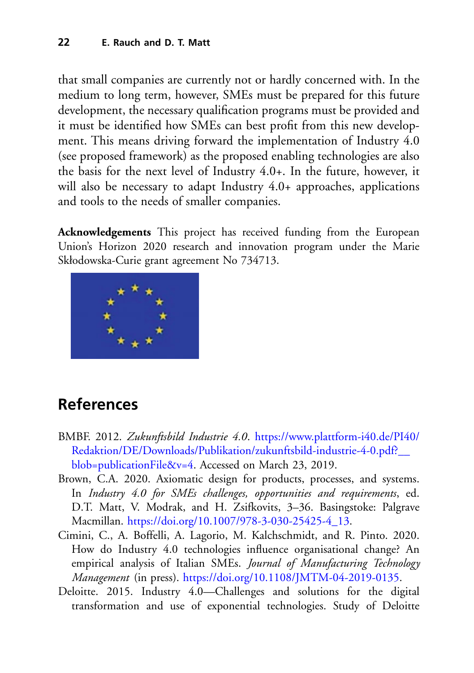that small companies are currently not or hardly concerned with. In the medium to long term, however, SMEs must be prepared for this future development, the necessary qualification programs must be provided and it must be identified how SMEs can best profit from this new development. This means driving forward the implementation of Industry 4.0 (see proposed framework) as the proposed enabling technologies are also the basis for the next level of Industry 4.0+. In the future, however, it will also be necessary to adapt Industry 4.0+ approaches, applications and tools to the needs of smaller companies.

**Acknowledgements** This project has received funding from the European Union's Horizon 2020 research and innovation program under the Marie Skłodowska-Curie grant agreement No 734713.



# **References**

- <span id="page-19-0"></span>BMBF. 2012. *Zukunftsbild Industrie 4.0*. https://www.plattform-i40.de/PI40/ [Redaktion/DE/Downloads/Publikation/zukunftsbild-industrie-4-0.pdf?\\_\\_](https://www.plattform-i40.de/PI40/Redaktion/DE/Downloads/Publikation/zukunftsbild-industrie-4-0.pdf%3F__blob%3DpublicationFile%26v%3D4) blob=publicationFile&v=4. Accessed on March 23, 2019.
- <span id="page-19-3"></span>Brown, C.A. 2020. Axiomatic design for products, processes, and systems. In *Industry 4.0 for SMEs challenges, opportunities and requirements*, ed. D.T. Matt, V. Modrak, and H. Zsifkovits, 3–36. Basingstoke: Palgrave Macmillan. [https://doi.org/10.1007/978-3-030-25425-4\\_13.](https://doi.org/10.1007/978-3-030-25425-4_13)
- <span id="page-19-2"></span>Cimini, C., A. Boffelli, A. Lagorio, M. Kalchschmidt, and R. Pinto. 2020. How do Industry 4.0 technologies influence organisational change? An empirical analysis of Italian SMEs. *Journal of Manufacturing Technology Management* (in press). [https://doi.org/10.1108/JMTM-04-2019-0135.](https://doi.org/10.1108/JMTM-04-2019-0135)
- <span id="page-19-1"></span>Deloitte. 2015. Industry 4.0—Challenges and solutions for the digital transformation and use of exponential technologies. Study of Deloitte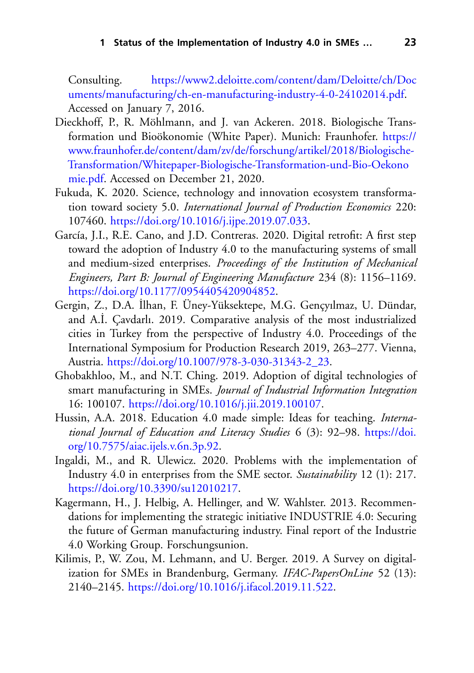Consulting. https://www2.deloitte.com/content/dam/Deloitte/ch/Doc [uments/manufacturing/ch-en-manufacturing-industry-4-0-24102014.pdf.](https://www2.deloitte.com/content/dam/Deloitte/ch/Documents/manufacturing/ch-en-manufacturing-industry-4-0-24102014.pdf) Accessed on January 7, 2016.

- <span id="page-20-8"></span>Dieckhoff, P., R. Möhlmann, and J. van Ackeren. 2018. Biologische Transformation und Bioökonomie (White Paper). Munich: Fraunhofer. https:// [www.fraunhofer.de/content/dam/zv/de/forschung/artikel/2018/Biologische-](https://www.fraunhofer.de/content/dam/zv/de/forschung/artikel/2018/Biologische-Transformation/Whitepaper-Biologische-Transformation-und-Bio-Oekonomie.pdf)Transformation/Whitepaper-Biologische-Transformation-und-Bio-Oekono mie.pdf. Accessed on December 21, 2020.
- <span id="page-20-1"></span>Fukuda, K. 2020. Science, technology and innovation ecosystem transformation toward society 5.0. *International Journal of Production Economics* 220: 107460. [https://doi.org/10.1016/j.ijpe.2019.07.033.](https://doi.org/10.1016/j.ijpe.2019.07.033)
- <span id="page-20-7"></span>García, J.I., R.E. Cano, and J.D. Contreras. 2020. Digital retrofit: A first step toward the adoption of Industry 4.0 to the manufacturing systems of small and medium-sized enterprises. *Proceedings of the Institution of Mechanical Engineers, Part B: Journal of Engineering Manufacture* 234 (8): 1156–1169. [https://doi.org/10.1177/0954405420904852.](https://doi.org/10.1177/0954405420904852)
- <span id="page-20-5"></span>Gergin, Z., D.A. ˙Ilhan, F. Üney-Yüksektepe, M.G. Gençyılmaz, U. Dündar, and A.I. Cavdarlı. 2019. Comparative analysis of the most industrialized cities in Turkey from the perspective of Industry 4.0. Proceedings of the International Symposium for Production Research 2019, 263–277. Vienna, Austria. [https://doi.org/10.1007/978-3-030-31343-2\\_23.](https://doi.org/10.1007/978-3-030-31343-2_23)
- <span id="page-20-3"></span>Ghobakhloo, M., and N.T. Ching. 2019. Adoption of digital technologies of smart manufacturing in SMEs. *Journal of Industrial Information Integration* 16: 100107. [https://doi.org/10.1016/j.jii.2019.100107.](https://doi.org/10.1016/j.jii.2019.100107)
- <span id="page-20-2"></span>Hussin, A.A. 2018. Education 4.0 made simple: Ideas for teaching. *Interna[tional Journal of Education and Literacy Studies](https://doi.org/10.7575/aiac.ijels.v.6n.3p.92)* 6 (3): 92–98. https://doi. org/10.7575/aiac.ijels.v.6n.3p.92.
- <span id="page-20-6"></span>Ingaldi, M., and R. Ulewicz. 2020. Problems with the implementation of Industry 4.0 in enterprises from the SME sector. *Sustainability* 12 (1): 217. [https://doi.org/10.3390/su12010217.](https://doi.org/10.3390/su12010217)
- <span id="page-20-0"></span>Kagermann, H., J. Helbig, A. Hellinger, and W. Wahlster. 2013. Recommendations for implementing the strategic initiative INDUSTRIE 4.0: Securing the future of German manufacturing industry. Final report of the Industrie 4.0 Working Group. Forschungsunion.
- <span id="page-20-4"></span>Kilimis, P., W. Zou, M. Lehmann, and U. Berger. 2019. A Survey on digitalization for SMEs in Brandenburg, Germany. *IFAC-PapersOnLine* 52 (13): 2140–2145. [https://doi.org/10.1016/j.ifacol.2019.11.522.](https://doi.org/10.1016/j.ifacol.2019.11.522)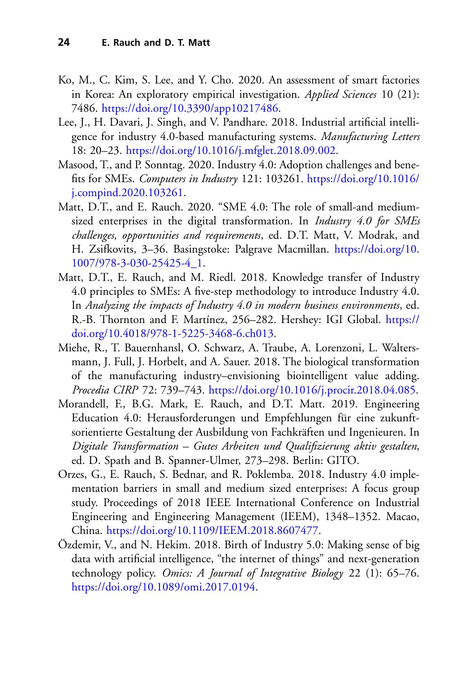- <span id="page-21-4"></span>Ko, M., C. Kim, S. Lee, and Y. Cho. 2020. An assessment of smart factories in Korea: An exploratory empirical investigation. *Applied Sciences* 10 (21): 7486. [https://doi.org/10.3390/app10217486.](https://doi.org/10.3390/app10217486)
- <span id="page-21-7"></span>Lee, J., H. Davari, J. Singh, and V. Pandhare. 2018. Industrial artificial intelligence for industry 4.0-based manufacturing systems. *Manufacturing Letters* 18: 20–23. [https://doi.org/10.1016/j.mfglet.2018.09.002.](https://doi.org/10.1016/j.mfglet.2018.09.002)
- <span id="page-21-2"></span>Masood, T., and P. Sonntag. 2020. Industry 4.0: Adoption challenges and benefits for SMEs. *Computers in Industry* 121: 103261. https://doi.org/10.1016/ [j.compind.2020.103261.](https://doi.org/10.1016/j.compind.2020.103261)
- <span id="page-21-0"></span>Matt, D.T., and E. Rauch. 2020. "SME 4.0: The role of small-and mediumsized enterprises in the digital transformation. In *Industry 4.0 for SMEs challenges, opportunities and requirements*, ed. D.T. Matt, V. Modrak, and [H. Zsifkovits, 3–36. Basingstoke: Palgrave Macmillan.](https://doi.org/10.1007/978-3-030-25425-4_1) https://doi.org/10. 1007/978-3-030-25425-4\_1.
- <span id="page-21-3"></span>Matt, D.T., E. Rauch, and M. Riedl. 2018. Knowledge transfer of Industry 4.0 principles to SMEs: A five-step methodology to introduce Industry 4.0. In *Analyzing the impacts of Industry 4.0 in modern business environments*, ed. [R.-B. Thornton and F. Martínez, 256–282. Hershey: IGI Global.](https://doi.org/10.4018/978-1-5225-3468-6.ch013) https:// doi.org/10.4018/978-1-5225-3468-6.ch013.
- <span id="page-21-8"></span>Miehe, R., T. Bauernhansl, O. Schwarz, A. Traube, A. Lorenzoni, L. Waltersmann, J. Full, J. Horbelt, and A. Sauer. 2018. The biological transformation of the manufacturing industry–envisioning biointelligent value adding. *Procedia CIRP* 72: 739–743. [https://doi.org/10.1016/j.procir.2018.04.085.](https://doi.org/10.1016/j.procir.2018.04.085)
- <span id="page-21-1"></span>Morandell, F., B.G. Mark, E. Rauch, and D.T. Matt. 2019. Engineering Education 4.0: Herausforderungen und Empfehlungen für eine zukunftsorientierte Gestaltung der Ausbildung von Fachkräften und Ingenieuren. In *Digitale Transformation – Gutes Arbeiten und Qualifizierung aktiv gestalten*, ed. D. Spath and B. Spanner-Ulmer, 273–298. Berlin: GITO.
- <span id="page-21-5"></span>Orzes, G., E. Rauch, S. Bednar, and R. Poklemba. 2018. Industry 4.0 implementation barriers in small and medium sized enterprises: A focus group study. Proceedings of 2018 IEEE International Conference on Industrial Engineering and Engineering Management (IEEM), 1348–1352. Macao, China. [https://doi.org/10.1109/IEEM.2018.8607477.](https://doi.org/10.1109/IEEM.2018.8607477)
- <span id="page-21-6"></span>Özdemir, V., and N. Hekim. 2018. Birth of Industry 5.0: Making sense of big data with artificial intelligence, "the internet of things" and next-generation technology policy. *Omics: A Journal of Integrative Biology* 22 (1): 65–76. [https://doi.org/10.1089/omi.2017.0194.](https://doi.org/10.1089/omi.2017.0194)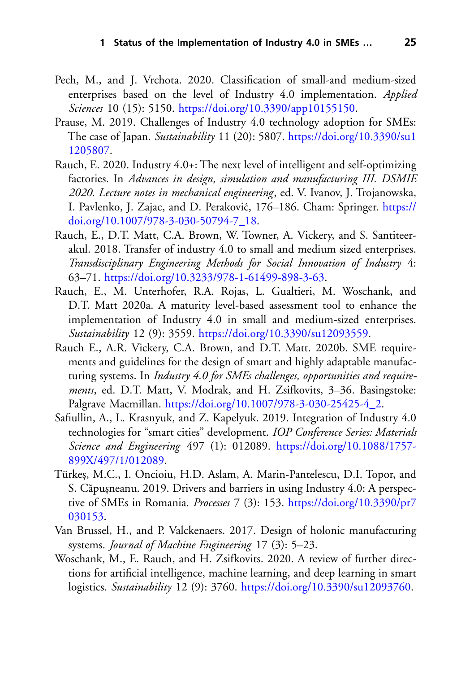- <span id="page-22-5"></span>Pech, M., and J. Vrchota. 2020. Classification of small-and medium-sized enterprises based on the level of Industry 4.0 implementation. *Applied Sciences* 10 (15): 5150. [https://doi.org/10.3390/app10155150.](https://doi.org/10.3390/app10155150)
- <span id="page-22-3"></span>Prause, M. 2019. Challenges of Industry 4.0 technology adoption for SMEs: The case of Japan. *Sustainability* 11 (20): 5807. [https://doi.org/10.3390/su1](https://doi.org/10.3390/su11205807) 1205807.
- <span id="page-22-8"></span>Rauch, E. 2020. Industry 4.0+: The next level of intelligent and self-optimizing factories. In *Advances in design, simulation and manufacturing III. DSMIE 2020. Lecture notes in mechanical engineering*, ed. V. Ivanov, J. Trojanowska, I. Pavlenko, J. Zajac, and D. Peraković, 176–186. Cham: Springer. https:// doi.org/10.1007/978-3-030-50794-7\_18.
- <span id="page-22-2"></span>Rauch, E., D.T. Matt, C.A. Brown, W. Towner, A. Vickery, and S. Santiteerakul. 2018. Transfer of industry 4.0 to small and medium sized enterprises. *Transdisciplinary Engineering Methods for Social Innovation of Industry* 4: 63–71. [https://doi.org/10.3233/978-1-61499-898-3-63.](https://doi.org/10.3233/978-1-61499-898-3-63)
- <span id="page-22-4"></span>Rauch, E., M. Unterhofer, R.A. Rojas, L. Gualtieri, M. Woschank, and D.T. Matt 2020a. A maturity level-based assessment tool to enhance the implementation of Industry 4.0 in small and medium-sized enterprises. *Sustainability* 12 (9): 3559. [https://doi.org/10.3390/su12093559.](https://doi.org/10.3390/su12093559)
- <span id="page-22-7"></span>Rauch E., A.R. Vickery, C.A. Brown, and D.T. Matt. 2020b. SME requirements and guidelines for the design of smart and highly adaptable manufacturing systems. In *Industry 4.0 for SMEs challenges, opportunities and requirements*, ed. D.T. Matt, V. Modrak, and H. Zsifkovits, 3–36. Basingstoke: Palgrave Macmillan. [https://doi.org/10.1007/978-3-030-25425-4\\_2.](https://doi.org/10.1007/978-3-030-25425-4_2)
- <span id="page-22-0"></span>Safiullin, A., L. Krasnyuk, and Z. Kapelyuk. 2019. Integration of Industry 4.0 technologies for "smart cities" development. *IOP Conference Series: Materials Science and Engineering* 497 (1): 012089. [https://doi.org/10.1088/1757-](https://doi.org/10.1088/1757-899X/497/1/012089) 899X/497/1/012089.
- <span id="page-22-6"></span>Türkes,, M.C., I. Oncioiu, H.D. Aslam, A. Marin-Pantelescu, D.I. Topor, and S. Căpușneanu. 2019. Drivers and barriers in using Industry 4.0: A perspective of SMEs in Romania. *Processes* 7 (3): 153. [https://doi.org/10.3390/pr7](https://doi.org/10.3390/pr7030153) 030153.
- <span id="page-22-9"></span>Van Brussel, H., and P. Valckenaers. 2017. Design of holonic manufacturing systems. *Journal of Machine Engineering* 17 (3): 5–23.
- <span id="page-22-1"></span>Woschank, M., E. Rauch, and H. Zsifkovits. 2020. A review of further directions for artificial intelligence, machine learning, and deep learning in smart logistics. *Sustainability* 12 (9): 3760. [https://doi.org/10.3390/su12093760.](https://doi.org/10.3390/su12093760)